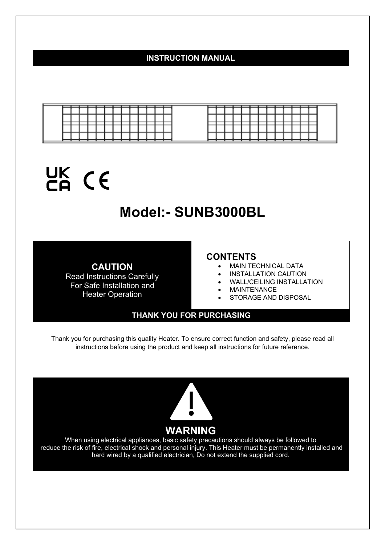# **INSTRUCTION MANUAL**

|  |  |        |  |        |     |  |  |  | __        | _____ |  |  |     |  |
|--|--|--------|--|--------|-----|--|--|--|-----------|-------|--|--|-----|--|
|  |  |        |  |        |     |  |  |  |           |       |  |  |     |  |
|  |  | ______ |  | ______ | ___ |  |  |  | _________ |       |  |  | ___ |  |
|  |  |        |  |        |     |  |  |  |           |       |  |  |     |  |
|  |  |        |  |        |     |  |  |  |           |       |  |  |     |  |

# UK CE

# **Model:- SUNB3000BL**

**CAUTION**  Read Instructions Carefully For Safe Installation and Heater Operation

#### **CONTENTS**

- MAIN TECHNICAL DATA
- INSTALLATION CAUTION
- WALL/CEILING INSTALLATION
- MAINTENANCE
- STORAGE AND DISPOSAL

#### **THANK YOU FOR PURCHASING**

Thank you for purchasing this quality Heater. To ensure correct function and safety, please read all instructions before using the product and keep all instructions for future reference.



When using electrical appliances, basic safety precautions should always be followed to reduce the risk of fire, electrical shock and personal injury. This Heater must be permanently installed and hard wired by a qualified electrician, Do not extend the supplied cord.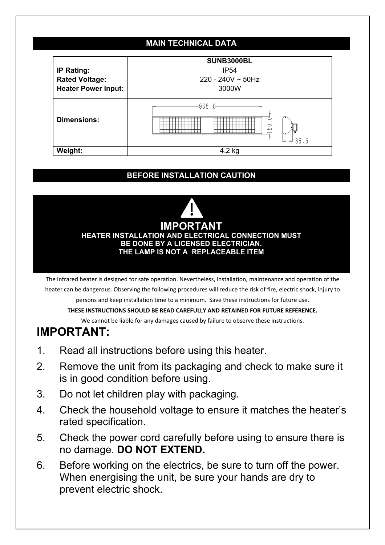# **MAIN TECHNICAL DATA**

|                            | <b>SUNB3000BL</b>                                       |
|----------------------------|---------------------------------------------------------|
| <b>IP Rating:</b>          | <b>IP54</b>                                             |
| <b>Rated Voltage:</b>      | $220 - 240V \sim 50Hz$                                  |
| <b>Heater Power Input:</b> | 3000W                                                   |
| <b>Dimensions:</b>         | -935.0-<br>$\circ$<br>$\circ$<br>$\overline{D}$<br>85.5 |
| Weight:                    | 4.2 kg                                                  |

# **BEFORE INSTALLATION CAUTION**



The infrared heater is designed for safe operation. Nevertheless, installation, maintenance and operation of the heater can be dangerous. Observing the following procedures will reduce the risk of fire, electric shock, injury to

persons and keep installation time to a minimum. Save these instructions for future use.

#### **THESE INSTRUCTIONS SHOULD BE READ CAREFULLY AND RETAINED FOR FUTURE REFERENCE.**

We cannot be liable for any damages caused by failure to observe these instructions.

# **IMPORTANT:**

- 1. Read all instructions before using this heater.
- 2. Remove the unit from its packaging and check to make sure it is in good condition before using.
- 3. Do not let children play with packaging.
- 4. Check the household voltage to ensure it matches the heater's rated specification.
- 5. Check the power cord carefully before using to ensure there is no damage. **DO NOT EXTEND.**
- 6. Before working on the electrics, be sure to turn off the power. When energising the unit, be sure your hands are dry to prevent electric shock.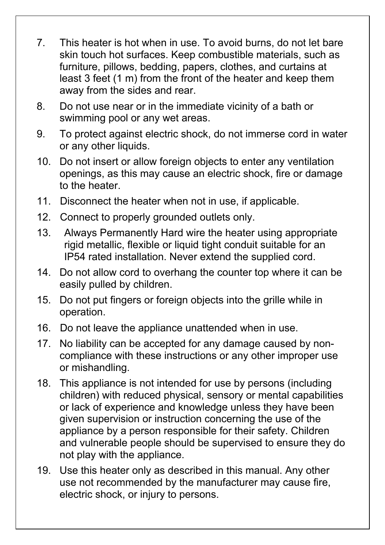- 7. This heater is hot when in use. To avoid burns, do not let bare skin touch hot surfaces. Keep combustible materials, such as furniture, pillows, bedding, papers, clothes, and curtains at least 3 feet (1 m) from the front of the heater and keep them away from the sides and rear.
- 8. Do not use near or in the immediate vicinity of a bath or swimming pool or any wet areas.
- 9. To protect against electric shock, do not immerse cord in water or any other liquids.
- 10. Do not insert or allow foreign objects to enter any ventilation openings, as this may cause an electric shock, fire or damage to the heater.
- 11. Disconnect the heater when not in use, if applicable.
- 12. Connect to properly grounded outlets only.
- 13. Always Permanently Hard wire the heater using appropriate rigid metallic, flexible or liquid tight conduit suitable for an IP54 rated installation. Never extend the supplied cord.
- 14. Do not allow cord to overhang the counter top where it can be easily pulled by children.
- 15. Do not put fingers or foreign objects into the grille while in operation.
- 16. Do not leave the appliance unattended when in use.
- 17. No liability can be accepted for any damage caused by noncompliance with these instructions or any other improper use or mishandling.
- 18. This appliance is not intended for use by persons (including children) with reduced physical, sensory or mental capabilities or lack of experience and knowledge unless they have been given supervision or instruction concerning the use of the appliance by a person responsible for their safety. Children and vulnerable people should be supervised to ensure they do not play with the appliance.
- 19. Use this heater only as described in this manual. Any other use not recommended by the manufacturer may cause fire, electric shock, or injury to persons.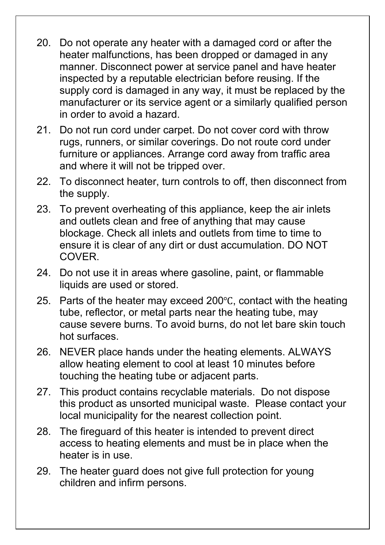- 20. Do not operate any heater with a damaged cord or after the heater malfunctions, has been dropped or damaged in any manner. Disconnect power at service panel and have heater inspected by a reputable electrician before reusing. If the supply cord is damaged in any way, it must be replaced by the manufacturer or its service agent or a similarly qualified person in order to avoid a hazard.
- 21. Do not run cord under carpet. Do not cover cord with throw rugs, runners, or similar coverings. Do not route cord under furniture or appliances. Arrange cord away from traffic area and where it will not be tripped over.
- 22. To disconnect heater, turn controls to off, then disconnect from the supply.
- 23. To prevent overheating of this appliance, keep the air inlets and outlets clean and free of anything that may cause blockage. Check all inlets and outlets from time to time to ensure it is clear of any dirt or dust accumulation. DO NOT COVER.
- 24. Do not use it in areas where gasoline, paint, or flammable liquids are used or stored.
- 25. Parts of the heater may exceed 200 $\degree$ C, contact with the heating tube, reflector, or metal parts near the heating tube, may cause severe burns. To avoid burns, do not let bare skin touch hot surfaces.
- 26. NEVER place hands under the heating elements. ALWAYS allow heating element to cool at least 10 minutes before touching the heating tube or adjacent parts.
- 27. This product contains recyclable materials. Do not dispose this product as unsorted municipal waste. Please contact your local municipality for the nearest collection point.
- 28. The fireguard of this heater is intended to prevent direct access to heating elements and must be in place when the heater is in use.
- 29. The heater guard does not give full protection for young children and infirm persons.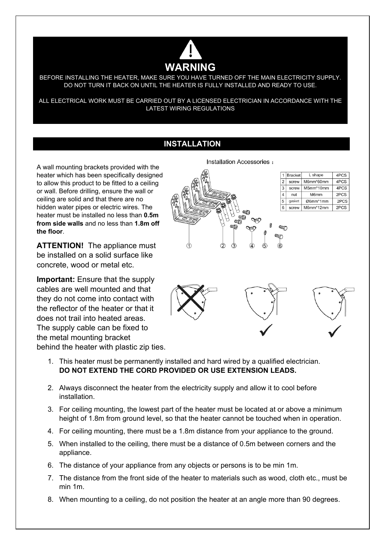

BEFORE INSTALLING THE HEATER, MAKE SURE YOU HAVE TURNED OFF THE MAIN ELECTRICITY SUPPLY. DO NOT TURN IT BACK ON UNTIL THE HEATER IS FULLY INSTALLED AND READY TO USE.

ALL ELECTRICAL WORK MUST BE CARRIED OUT BY A LICENSED ELECTRICIAN IN ACCORDANCE WITH THE LATEST WIRING REGULATIONS

### **INSTALLATION**

A wall mounting brackets provided with the heater which has been specifically designed to allow this product to be fitted to a ceiling or wall. Before drilling, ensure the wall or ceiling are solid and that there are no hidden water pipes or electric wires. The heater must be installed no less than **0.5m from side walls** and no less than **1.8m off the floor**.

**ATTENTION!** The appliance must be installed on a solid surface like concrete, wood or metal etc.

**Important:** Ensure that the supply cables are well mounted and that they do not come into contact with the reflector of the heater or that it does not trail into heated areas. The supply cable can be fixed to the metal mounting bracket behind the heater with plastic zip ties. Installation Accessories :



| 1 | <b>Bracket</b> | L shape   | 4PCS |
|---|----------------|-----------|------|
| 2 | screw          | M6mm*60mm | 4PCS |
| 3 | screw          | M5mm*10mm | 4PCS |
| 4 | nut            | M6mm      | 2PCS |
| 5 | gasket         | Ø6mm*1mm  | 2PCS |
| 6 | screw          | M6mm*12mm | 2PCS |



- 1. This heater must be permanently installed and hard wired by a qualified electrician. **DO NOT EXTEND THE CORD PROVIDED OR USE EXTENSION LEADS.**
- 2. Always disconnect the heater from the electricity supply and allow it to cool before installation.
- 3. For ceiling mounting, the lowest part of the heater must be located at or above a minimum height of 1.8m from ground level, so that the heater cannot be touched when in operation.
- 4. For ceiling mounting, there must be a 1.8m distance from your appliance to the ground.
- 5. When installed to the ceiling, there must be a distance of 0.5m between corners and the appliance.
- 6. The distance of your appliance from any objects or persons is to be min 1m.
- 7. The distance from the front side of the heater to materials such as wood, cloth etc., must be min 1m.
- 8. When mounting to a ceiling, do not position the heater at an angle more than 90 degrees.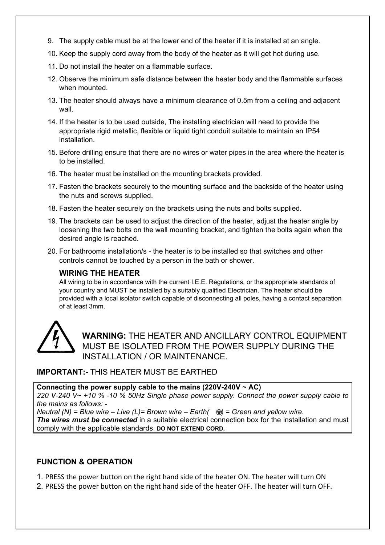- 9. The supply cable must be at the lower end of the heater if it is installed at an angle.
- 10. Keep the supply cord away from the body of the heater as it will get hot during use.
- 11. Do not install the heater on a flammable surface.
- 12. Observe the minimum safe distance between the heater body and the flammable surfaces when mounted.
- 13. The heater should always have a minimum clearance of 0.5m from a ceiling and adjacent wall.
- 14. If the heater is to be used outside, The installing electrician will need to provide the appropriate rigid metallic, flexible or liquid tight conduit suitable to maintain an IP54 **installation**
- 15. Before drilling ensure that there are no wires or water pipes in the area where the heater is to be installed.
- 16. The heater must be installed on the mounting brackets provided.
- 17. Fasten the brackets securely to the mounting surface and the backside of the heater using the nuts and screws supplied.
- 18. Fasten the heater securely on the brackets using the nuts and bolts supplied.
- 19. The brackets can be used to adjust the direction of the heater, adjust the heater angle by loosening the two bolts on the wall mounting bracket, and tighten the bolts again when the desired angle is reached.
- 20. For bathrooms installation/s the heater is to be installed so that switches and other controls cannot be touched by a person in the bath or shower.

#### **WIRING THE HEATER**

All wiring to be in accordance with the current I.E.E. Regulations, or the appropriate standards of your country and MUST be installed by a suitably qualified Electrician. The heater should be provided with a local isolator switch capable of disconnecting all poles, having a contact separation of at least 3mm.



**WARNING:** THE HEATER AND ANCILLARY CONTROL EQUIPMENT MUST BE ISOLATED FROM THE POWER SUPPLY DURING THE INSTALLATION / OR MAINTENANCE.

#### **IMPORTANT:-** THIS HEATER MUST BE EARTHED

**Connecting the power supply cable to the mains (220V-240V ~ AC)**  *220 V-240 V~ +10 % -10 % 50Hz Single phase power supply. Connect the power supply cable to the mains as follows: - Neutral (N) = Blue wire – Live (L)= Brown wire – Earth(*  $\oplus$ *) = Green and yellow wire.* 

**The wires must be connected** in a suitable electrical connection box for the installation and must comply with the applicable standards. **DO NOT EXTEND CORD.**

#### **FUNCTION & OPERATION**

1. PRESS the power button on the right hand side of the heater ON. The heater will turn ON

2. PRESS the power button on the right hand side of the heater OFF. The heater will turn OFF.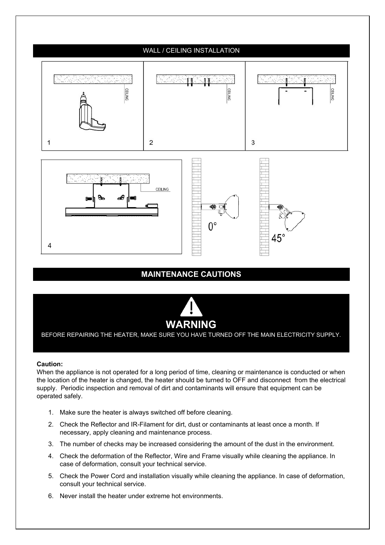

# **MAINTENANCE CAUTIONS**



BEFORE REPAIRING THE HEATER, MAKE SURE YOU HAVE TURNED OFF THE MAIN ELECTRICITY SUPPLY.

#### **Caution:**

When the appliance is not operated for a long period of time, cleaning or maintenance is conducted or when the location of the heater is changed, the heater should be turned to OFF and disconnect from the electrical supply. Periodic inspection and removal of dirt and contaminants will ensure that equipment can be operated safely.

- 1. Make sure the heater is always switched off before cleaning.
- 2. Check the Reflector and IR-Filament for dirt, dust or contaminants at least once a month. If necessary, apply cleaning and maintenance process.
- 3. The number of checks may be increased considering the amount of the dust in the environment.
- 4. Check the deformation of the Reflector, Wire and Frame visually while cleaning the appliance. In case of deformation, consult your technical service.
- 5. Check the Power Cord and installation visually while cleaning the appliance. In case of deformation, consult your technical service.
- 6. Never install the heater under extreme hot environments.